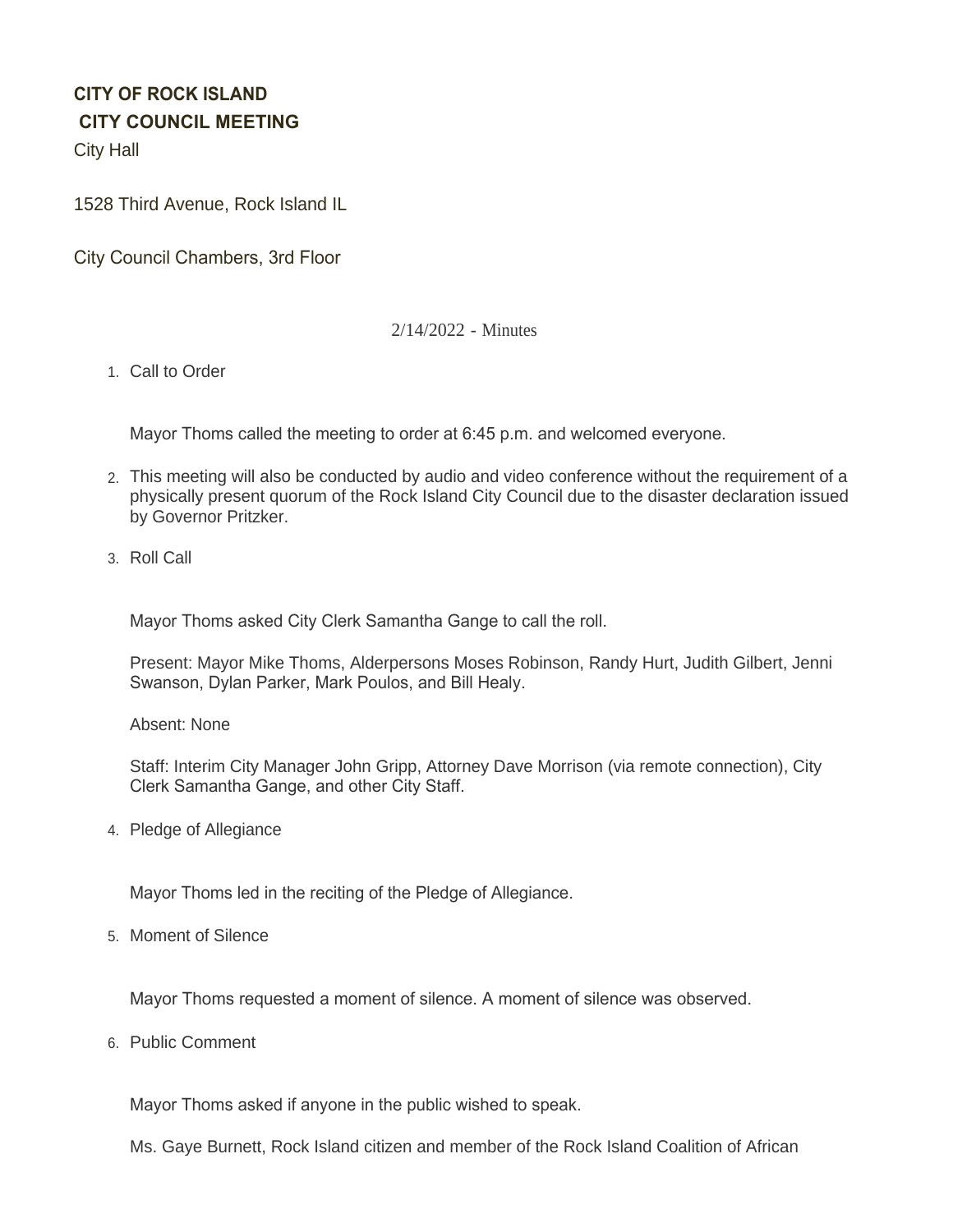# **CITY OF ROCK ISLAND CITY COUNCIL MEETING**

City Hall

1528 Third Avenue, Rock Island IL

City Council Chambers, 3rd Floor

# 2/14/2022 - Minutes

1. Call to Order

Mayor Thoms called the meeting to order at 6:45 p.m. and welcomed everyone.

- This meeting will also be conducted by audio and video conference without the requirement of a 2. physically present quorum of the Rock Island City Council due to the disaster declaration issued by Governor Pritzker.
- 3. Roll Call

Mayor Thoms asked City Clerk Samantha Gange to call the roll.

Present: Mayor Mike Thoms, Alderpersons Moses Robinson, Randy Hurt, Judith Gilbert, Jenni Swanson, Dylan Parker, Mark Poulos, and Bill Healy.

Absent: None

Staff: Interim City Manager John Gripp, Attorney Dave Morrison (via remote connection), City Clerk Samantha Gange, and other City Staff.

4. Pledge of Allegiance

Mayor Thoms led in the reciting of the Pledge of Allegiance.

5. Moment of Silence

Mayor Thoms requested a moment of silence. A moment of silence was observed.

6. Public Comment

Mayor Thoms asked if anyone in the public wished to speak.

Ms. Gaye Burnett, Rock Island citizen and member of the Rock Island Coalition of African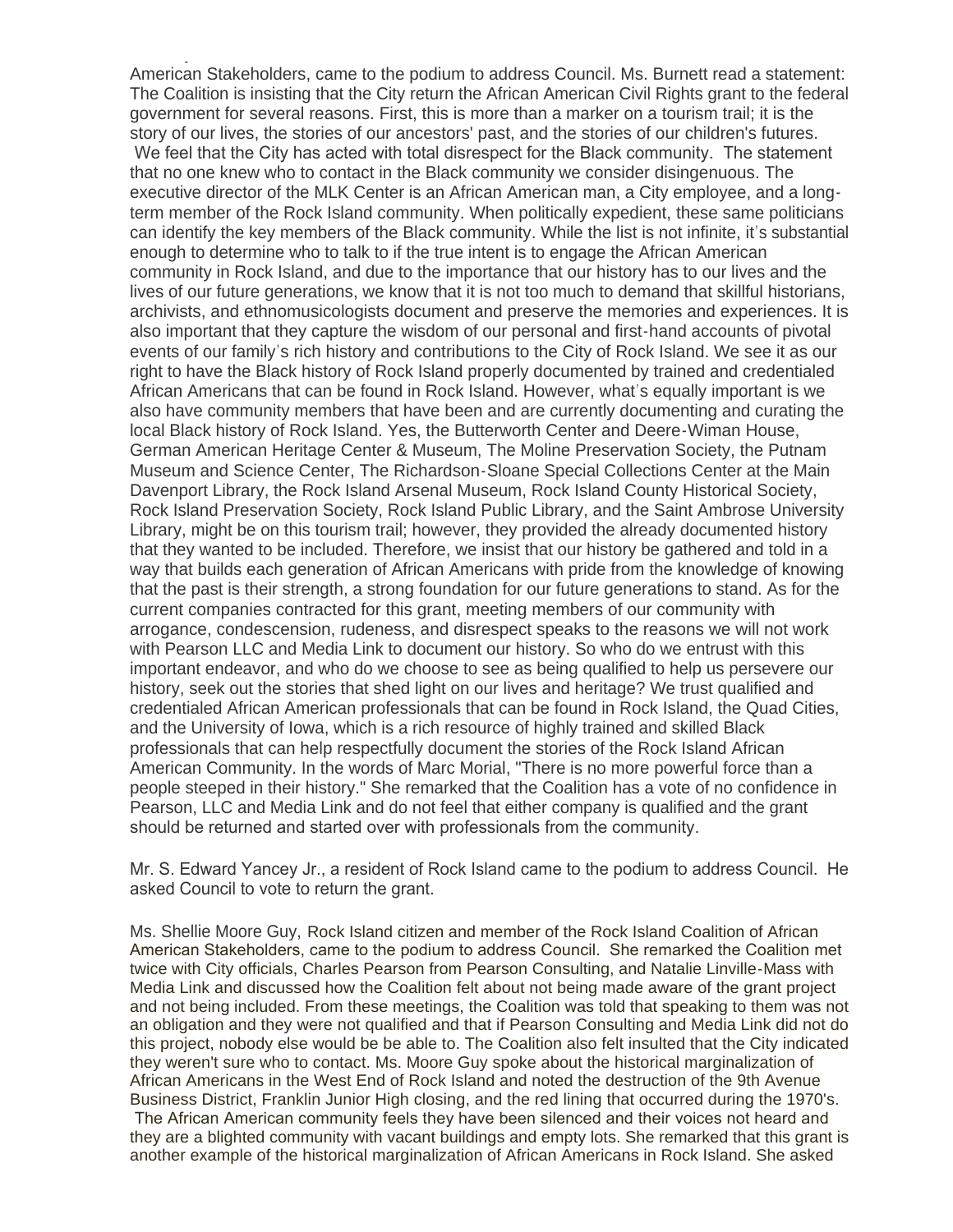Ms. Gaye Burnett, Rock Island citizen and member of the Rock Island Coalition of African American Stakeholders, came to the podium to address Council. Ms. Burnett read a statement: The Coalition is insisting that the City return the African American Civil Rights grant to the federal government for several reasons. First, this is more than a marker on a tourism trail; it is the story of our lives, the stories of our ancestors' past, and the stories of our children's futures. We feel that the City has acted with total disrespect for the Black community. The statement that no one knew who to contact in the Black community we consider disingenuous. The executive director of the MLK Center is an African American man, a City employee, and a longterm member of the Rock Island community. When politically expedient, these same politicians can identify the key members of the Black community. While the list is not infinite, it's substantial enough to determine who to talk to if the true intent is to engage the African American community in Rock Island, and due to the importance that our history has to our lives and the lives of our future generations, we know that it is not too much to demand that skillful historians, archivists, and ethnomusicologists document and preserve the memories and experiences. It is also important that they capture the wisdom of our personal and first-hand accounts of pivotal events of our family's rich history and contributions to the City of Rock Island. We see it as our right to have the Black history of Rock Island properly documented by trained and credentialed African Americans that can be found in Rock Island. However, what's equally important is we also have community members that have been and are currently documenting and curating the local Black history of Rock Island. Yes, the Butterworth Center and Deere-Wiman House, German American Heritage Center & Museum, The Moline Preservation Society, the Putnam Museum and Science Center, The Richardson-Sloane Special Collections Center at the Main Davenport Library, the Rock Island Arsenal Museum, Rock Island County Historical Society, Rock Island Preservation Society, Rock Island Public Library, and the Saint Ambrose University Library, might be on this tourism trail; however, they provided the already documented history that they wanted to be included. Therefore, we insist that our history be gathered and told in a way that builds each generation of African Americans with pride from the knowledge of knowing that the past is their strength, a strong foundation for our future generations to stand. As for the current companies contracted for this grant, meeting members of our community with arrogance, condescension, rudeness, and disrespect speaks to the reasons we will not work with Pearson LLC and Media Link to document our history. So who do we entrust with this important endeavor, and who do we choose to see as being qualified to help us persevere our history, seek out the stories that shed light on our lives and heritage? We trust qualified and credentialed African American professionals that can be found in Rock Island, the Quad Cities, and the University of Iowa, which is a rich resource of highly trained and skilled Black professionals that can help respectfully document the stories of the Rock Island African American Community. In the words of Marc Morial, "There is no more powerful force than a people steeped in their history." She remarked that the Coalition has a vote of no confidence in Pearson, LLC and Media Link and do not feel that either company is qualified and the grant should be returned and started over with professionals from the community.

Mr. S. Edward Yancey Jr., a resident of Rock Island came to the podium to address Council. He asked Council to vote to return the grant.

Ms. Shellie Moore Guy, Rock Island citizen and member of the Rock Island Coalition of African American Stakeholders, came to the podium to address Council. She remarked the Coalition met twice with City officials, Charles Pearson from Pearson Consulting, and Natalie Linville-Mass with Media Link and discussed how the Coalition felt about not being made aware of the grant project and not being included. From these meetings, the Coalition was told that speaking to them was not an obligation and they were not qualified and that if Pearson Consulting and Media Link did not do this project, nobody else would be be able to. The Coalition also felt insulted that the City indicated they weren't sure who to contact. Ms. Moore Guy spoke about the historical marginalization of African Americans in the West End of Rock Island and noted the destruction of the 9th Avenue Business District, Franklin Junior High closing, and the red lining that occurred during the 1970's. The African American community feels they have been silenced and their voices not heard and they are a blighted community with vacant buildings and empty lots. She remarked that this grant is another example of the historical marginalization of African Americans in Rock Island. She asked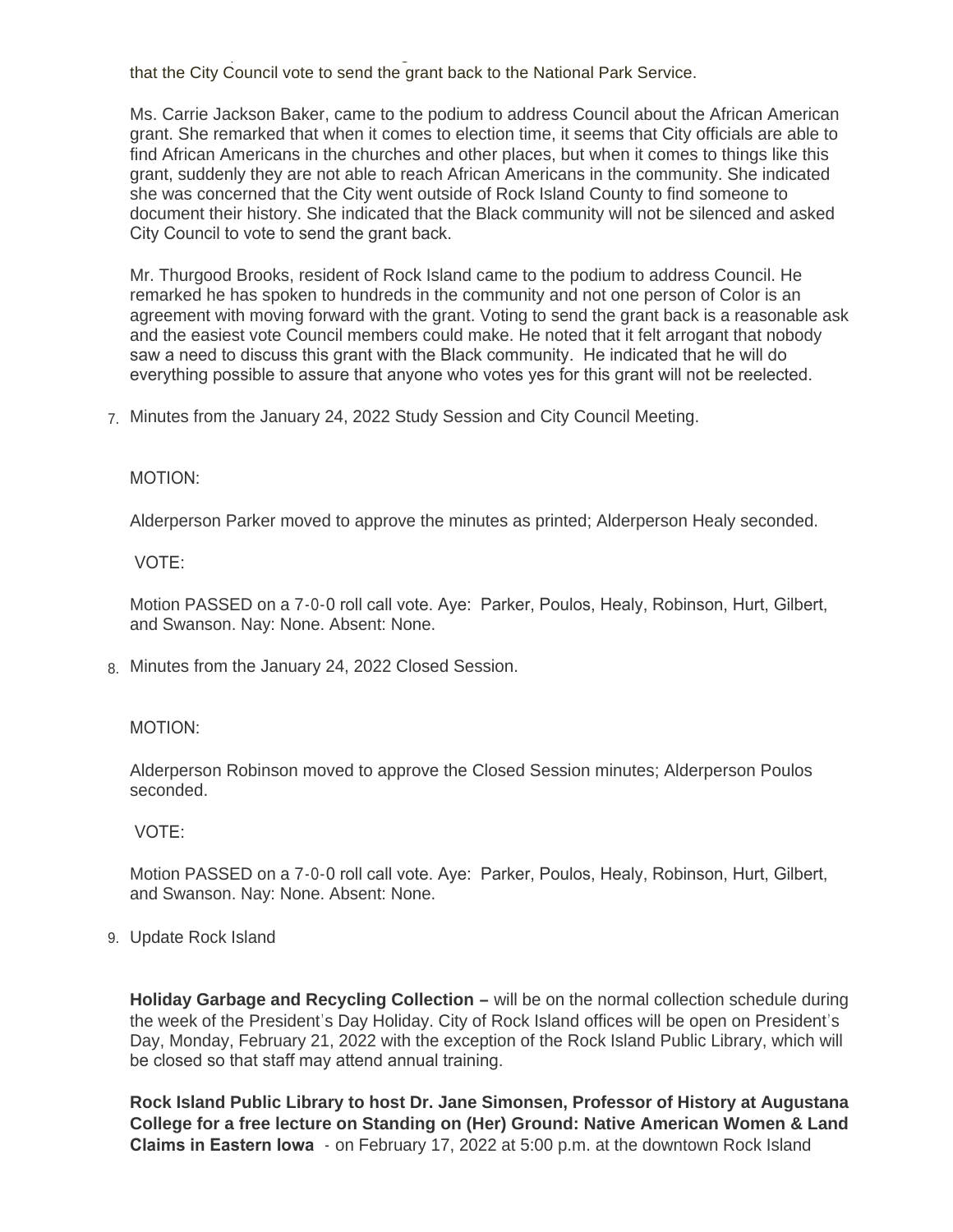another example of the historical marginalization of African Americans in Rock Island. She asked that the City Council vote to send the grant back to the National Park Service.

Ms. Carrie Jackson Baker, came to the podium to address Council about the African American grant. She remarked that when it comes to election time, it seems that City officials are able to find African Americans in the churches and other places, but when it comes to things like this grant, suddenly they are not able to reach African Americans in the community. She indicated she was concerned that the City went outside of Rock Island County to find someone to document their history. She indicated that the Black community will not be silenced and asked City Council to vote to send the grant back.

Mr. Thurgood Brooks, resident of Rock Island came to the podium to address Council. He remarked he has spoken to hundreds in the community and not one person of Color is an agreement with moving forward with the grant. Voting to send the grant back is a reasonable ask and the easiest vote Council members could make. He noted that it felt arrogant that nobody saw a need to discuss this grant with the Black community. He indicated that he will do everything possible to assure that anyone who votes yes for this grant will not be reelected.

Minutes from the January 24, 2022 Study Session and City Council Meeting. 7.

### MOTION:

Alderperson Parker moved to approve the minutes as printed; Alderperson Healy seconded.

VOTE:

Motion PASSED on a 7-0-0 roll call vote. Aye: Parker, Poulos, Healy, Robinson, Hurt, Gilbert, and Swanson. Nay: None. Absent: None.

Minutes from the January 24, 2022 Closed Session. 8.

# MOTION:

Alderperson Robinson moved to approve the Closed Session minutes; Alderperson Poulos seconded.

VOTE:

Motion PASSED on a 7-0-0 roll call vote. Aye: Parker, Poulos, Healy, Robinson, Hurt, Gilbert, and Swanson. Nay: None. Absent: None.

Update Rock Island 9.

**Holiday Garbage and Recycling Collection –** will be on the normal collection schedule during the week of the President's Day Holiday. City of Rock Island offices will be open on President's Day, Monday, February 21, 2022 with the exception of the Rock Island Public Library, which will be closed so that staff may attend annual training.

**Rock Island Public Library to host Dr. Jane Simonsen, Professor of History at Augustana College for a free lecture on Standing on (Her) Ground: Native American Women & Land Claims in Eastern Iowa** - on February 17, 2022 at 5:00 p.m. at the downtown Rock Island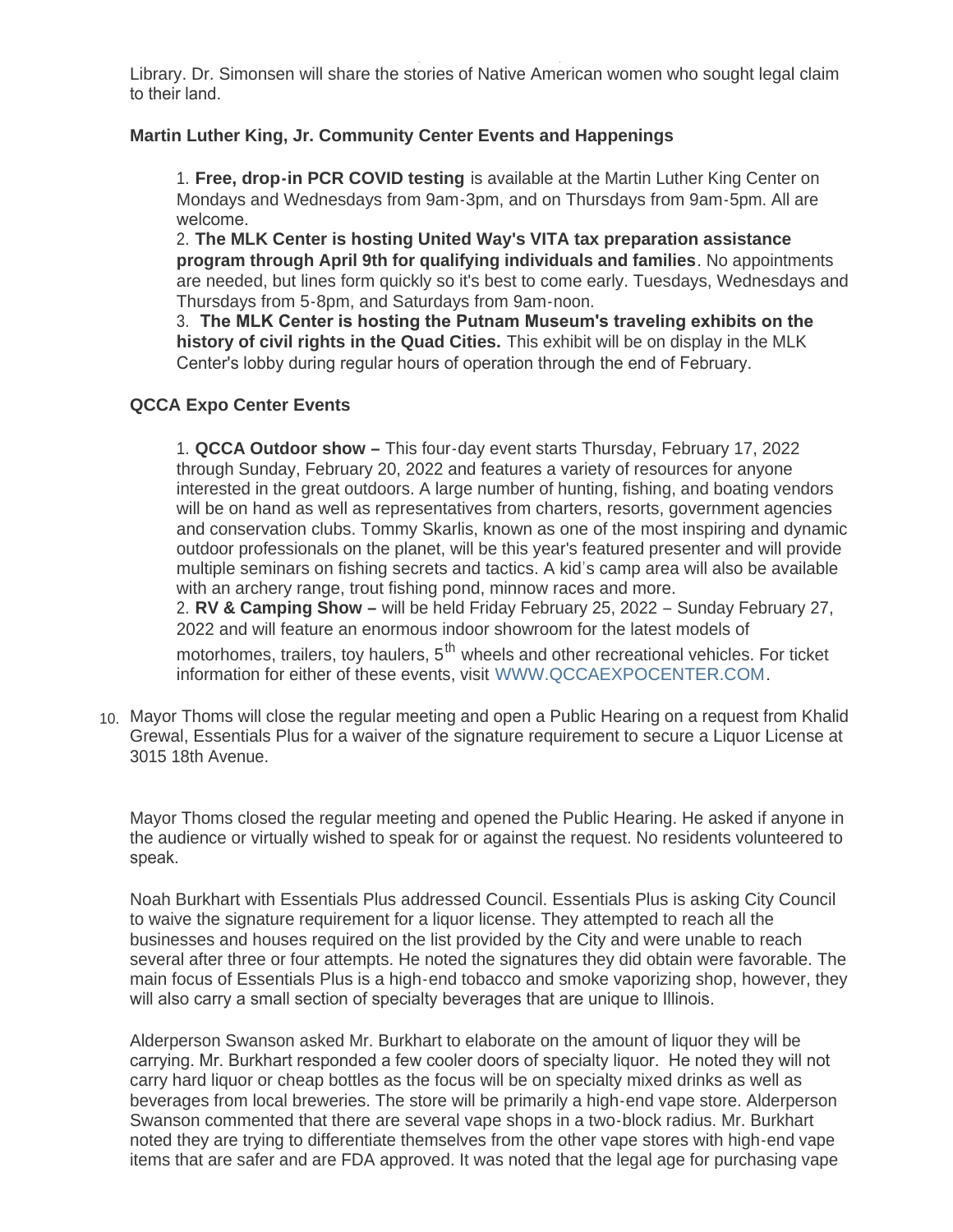Library. Dr. Simonsen will share the stories of Native American women who sought legal claim to their land.

# **Martin Luther King, Jr. Community Center Events and Happenings**

1. **Free, drop-in PCR COVID testing** is available at the Martin Luther King Center on Mondays and Wednesdays from 9am-3pm, and on Thursdays from 9am-5pm. All are welcome.

2. **The MLK Center is hosting United Way's VITA tax preparation assistance program through April 9th for qualifying individuals and families**. No appointments are needed, but lines form quickly so it's best to come early. Tuesdays, Wednesdays and Thursdays from 5-8pm, and Saturdays from 9am-noon.

3. **The MLK Center is hosting the Putnam Museum's traveling exhibits on the history of civil rights in the Quad Cities.** This exhibit will be on display in the MLK Center's lobby during regular hours of operation through the end of February.

# **QCCA Expo Center Events**

1. **QCCA Outdoor show –** This four-day event starts Thursday, February 17, 2022 through Sunday, February 20, 2022 and features a variety of resources for anyone interested in the great outdoors. A large number of hunting, fishing, and boating vendors will be on hand as well as representatives from charters, resorts, government agencies and conservation clubs. Tommy Skarlis, known as one of the most inspiring and dynamic outdoor professionals on the planet, will be this year's featured presenter and will provide multiple seminars on fishing secrets and tactics. A kid's camp area will also be available with an archery range, trout fishing pond, minnow races and more. 2. **RV & Camping Show –** will be held Friday February 25, 2022 – Sunday February 27, 2022 and will feature an enormous indoor showroom for the latest models of

motorhomes, trailers, toy haulers,  $5<sup>th</sup>$  wheels and other recreational vehicles. For ticket information for either of these events, visit [WWW.QCCAEXPOCENTER.COM](http://www.qccaexpocenter.com/).

Mayor Thoms will close the regular meeting and open a Public Hearing on a request from Khalid 10. Grewal, Essentials Plus for a waiver of the signature requirement to secure a Liquor License at 3015 18th Avenue.

Mayor Thoms closed the regular meeting and opened the Public Hearing. He asked if anyone in the audience or virtually wished to speak for or against the request. No residents volunteered to speak.

Noah Burkhart with Essentials Plus addressed Council. Essentials Plus is asking City Council to waive the signature requirement for a liquor license. They attempted to reach all the businesses and houses required on the list provided by the City and were unable to reach several after three or four attempts. He noted the signatures they did obtain were favorable. The main focus of Essentials Plus is a high-end tobacco and smoke vaporizing shop, however, they will also carry a small section of specialty beverages that are unique to Illinois.

Alderperson Swanson asked Mr. Burkhart to elaborate on the amount of liquor they will be carrying. Mr. Burkhart responded a few cooler doors of specialty liquor. He noted they will not carry hard liquor or cheap bottles as the focus will be on specialty mixed drinks as well as beverages from local breweries. The store will be primarily a high-end vape store. Alderperson Swanson commented that there are several vape shops in a two-block radius. Mr. Burkhart noted they are trying to differentiate themselves from the other vape stores with high-end vape items that are safer and are FDA approved. It was noted that the legal age for purchasing vape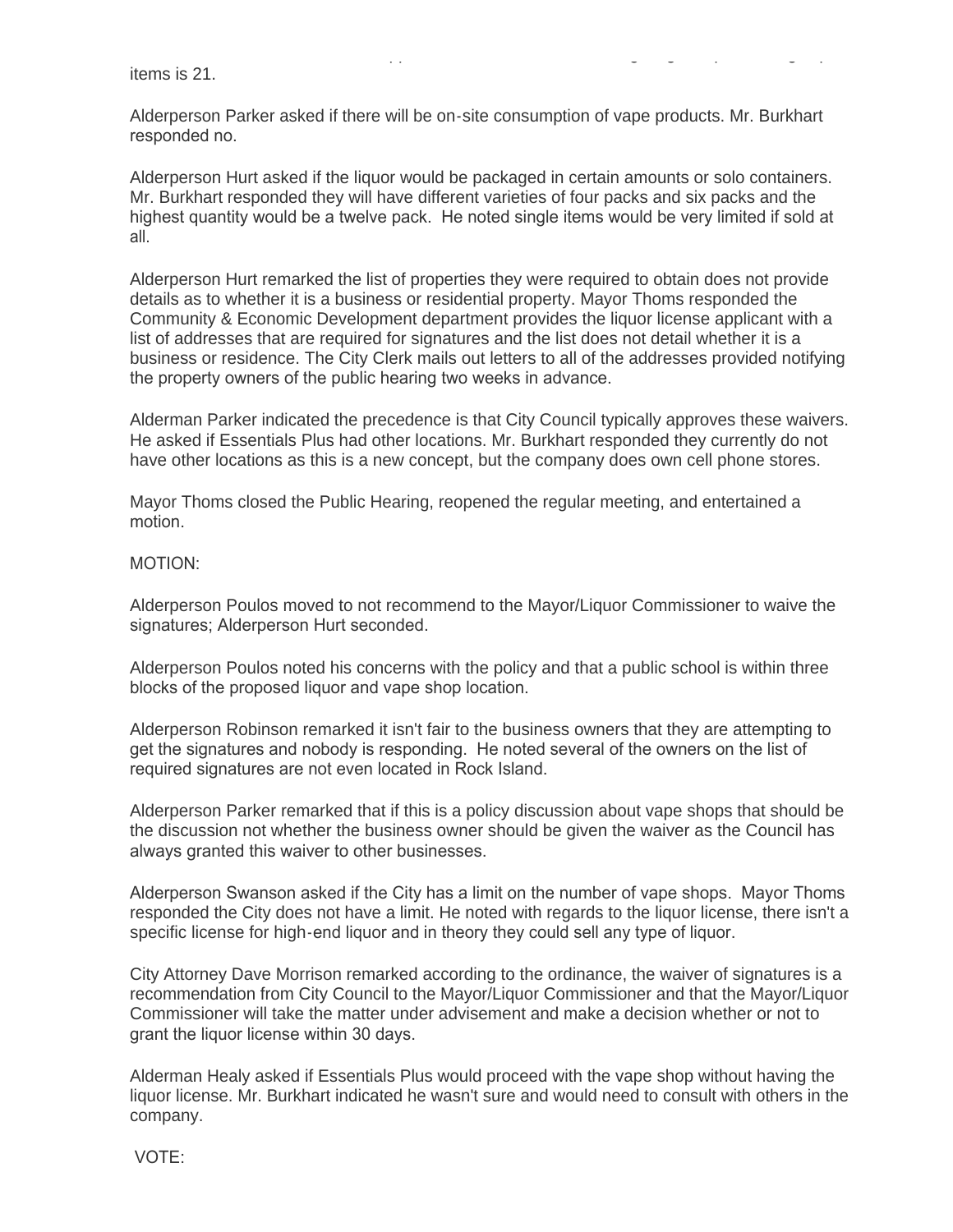items that are safer and are FDA approved. It was noted that the legal age for purchasing vape items is 21.

Alderperson Parker asked if there will be on-site consumption of vape products. Mr. Burkhart responded no.

Alderperson Hurt asked if the liquor would be packaged in certain amounts or solo containers. Mr. Burkhart responded they will have different varieties of four packs and six packs and the highest quantity would be a twelve pack. He noted single items would be very limited if sold at all.

Alderperson Hurt remarked the list of properties they were required to obtain does not provide details as to whether it is a business or residential property. Mayor Thoms responded the Community & Economic Development department provides the liquor license applicant with a list of addresses that are required for signatures and the list does not detail whether it is a business or residence. The City Clerk mails out letters to all of the addresses provided notifying the property owners of the public hearing two weeks in advance.

Alderman Parker indicated the precedence is that City Council typically approves these waivers. He asked if Essentials Plus had other locations. Mr. Burkhart responded they currently do not have other locations as this is a new concept, but the company does own cell phone stores.

Mayor Thoms closed the Public Hearing, reopened the regular meeting, and entertained a motion.

#### MOTION:

Alderperson Poulos moved to not recommend to the Mayor/Liquor Commissioner to waive the signatures; Alderperson Hurt seconded.

Alderperson Poulos noted his concerns with the policy and that a public school is within three blocks of the proposed liquor and vape shop location.

Alderperson Robinson remarked it isn't fair to the business owners that they are attempting to get the signatures and nobody is responding. He noted several of the owners on the list of required signatures are not even located in Rock Island.

Alderperson Parker remarked that if this is a policy discussion about vape shops that should be the discussion not whether the business owner should be given the waiver as the Council has always granted this waiver to other businesses.

Alderperson Swanson asked if the City has a limit on the number of vape shops. Mayor Thoms responded the City does not have a limit. He noted with regards to the liquor license, there isn't a specific license for high-end liquor and in theory they could sell any type of liquor.

City Attorney Dave Morrison remarked according to the ordinance, the waiver of signatures is a recommendation from City Council to the Mayor/Liquor Commissioner and that the Mayor/Liquor Commissioner will take the matter under advisement and make a decision whether or not to grant the liquor license within 30 days.

Alderman Healy asked if Essentials Plus would proceed with the vape shop without having the liquor license. Mr. Burkhart indicated he wasn't sure and would need to consult with others in the company.

VOTE: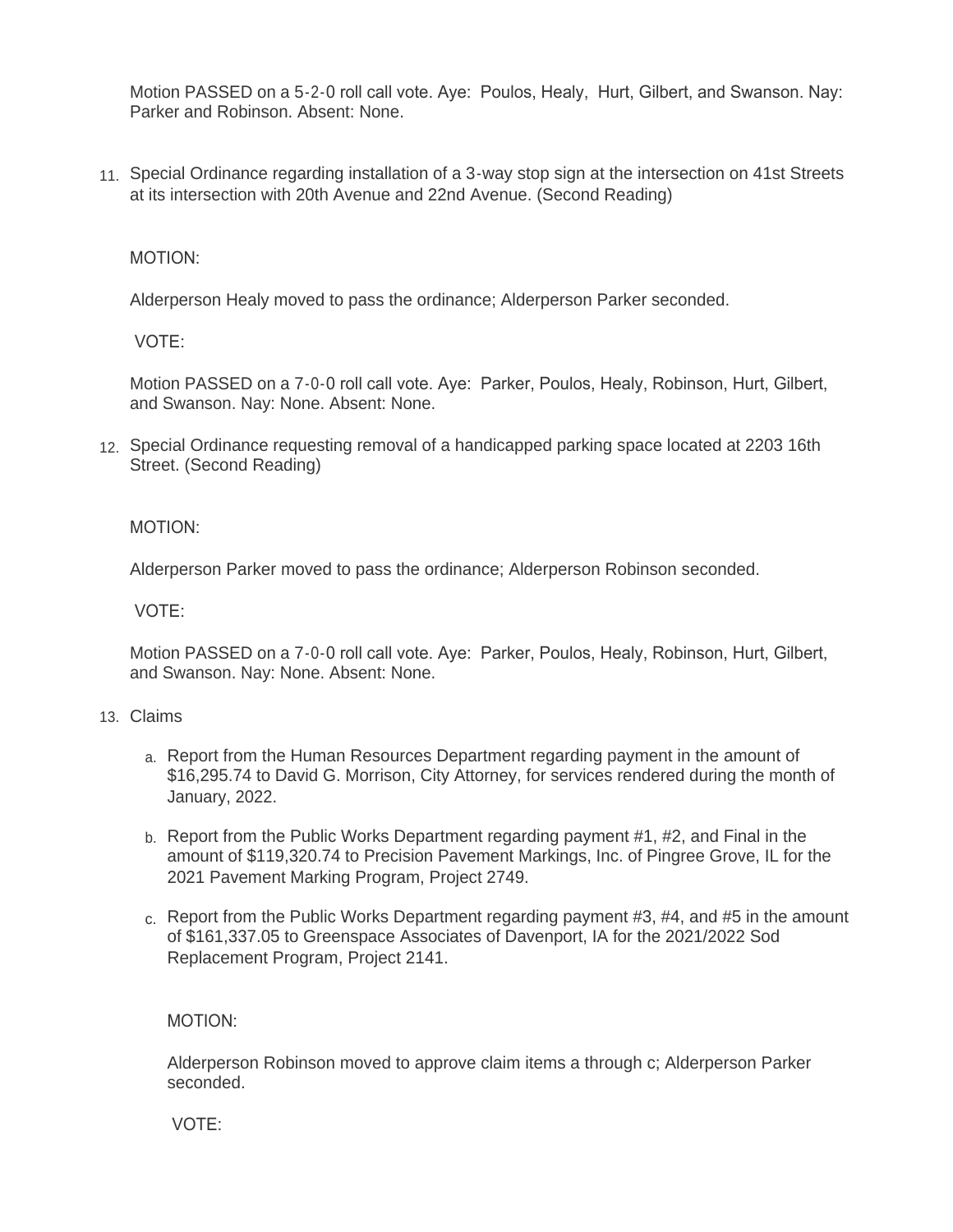Motion PASSED on a 5-2-0 roll call vote. Aye: Poulos, Healy, Hurt, Gilbert, and Swanson. Nay: Parker and Robinson. Absent: None.

11. Special Ordinance regarding installation of a 3-way stop sign at the intersection on 41st Streets at its intersection with 20th Avenue and 22nd Avenue. (Second Reading)

MOTION:

Alderperson Healy moved to pass the ordinance; Alderperson Parker seconded.

VOTE:

Motion PASSED on a 7-0-0 roll call vote. Aye: Parker, Poulos, Healy, Robinson, Hurt, Gilbert, and Swanson. Nay: None. Absent: None.

12. Special Ordinance requesting removal of a handicapped parking space located at 2203 16th Street. (Second Reading)

MOTION:

Alderperson Parker moved to pass the ordinance; Alderperson Robinson seconded.

VOTE:

Motion PASSED on a 7-0-0 roll call vote. Aye: Parker, Poulos, Healy, Robinson, Hurt, Gilbert, and Swanson. Nay: None. Absent: None.

# Claims 13.

- a. Report from the Human Resources Department regarding payment in the amount of \$16,295.74 to David G. Morrison, City Attorney, for services rendered during the month of January, 2022.
- b. Report from the Public Works Department regarding payment #1, #2, and Final in the amount of \$119,320.74 to Precision Pavement Markings, Inc. of Pingree Grove, IL for the 2021 Pavement Marking Program, Project 2749.
- c. Report from the Public Works Department regarding payment #3, #4, and #5 in the amount of \$161,337.05 to Greenspace Associates of Davenport, IA for the 2021/2022 Sod Replacement Program, Project 2141.

# MOTION:

Alderperson Robinson moved to approve claim items a through c; Alderperson Parker seconded.

VOTE: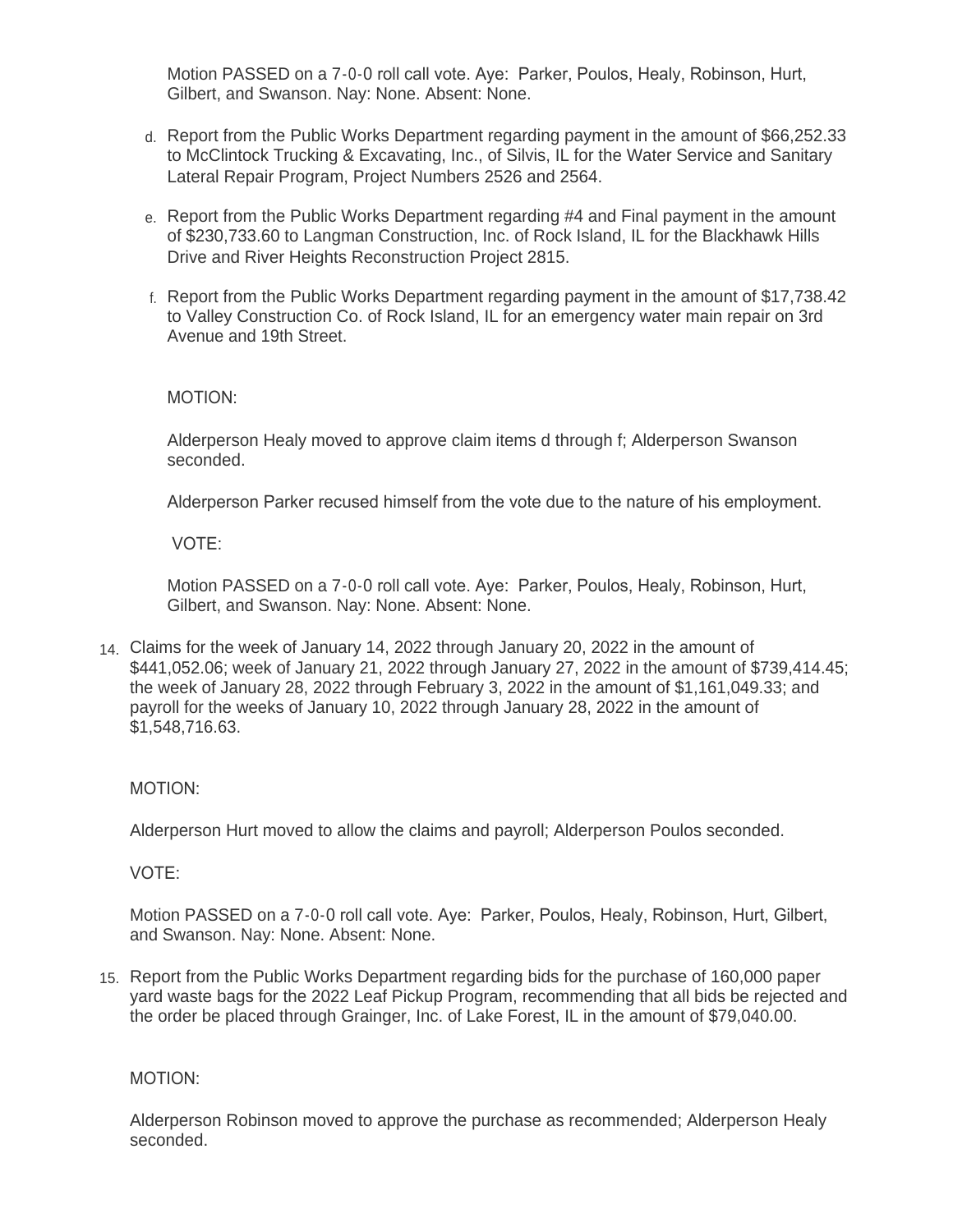Motion PASSED on a 7-0-0 roll call vote. Aye: Parker, Poulos, Healy, Robinson, Hurt, Gilbert, and Swanson. Nay: None. Absent: None.

- d. Report from the Public Works Department regarding payment in the amount of \$66,252.33 to McClintock Trucking & Excavating, Inc., of Silvis, IL for the Water Service and Sanitary Lateral Repair Program, Project Numbers 2526 and 2564.
- e. Report from the Public Works Department regarding #4 and Final payment in the amount of \$230,733.60 to Langman Construction, Inc. of Rock Island, IL for the Blackhawk Hills Drive and River Heights Reconstruction Project 2815.
- f. Report from the Public Works Department regarding payment in the amount of \$17,738.42 to Valley Construction Co. of Rock Island, IL for an emergency water main repair on 3rd Avenue and 19th Street.

### MOTION:

Alderperson Healy moved to approve claim items d through f; Alderperson Swanson seconded.

Alderperson Parker recused himself from the vote due to the nature of his employment.

VOTE:

Motion PASSED on a 7-0-0 roll call vote. Aye: Parker, Poulos, Healy, Robinson, Hurt, Gilbert, and Swanson. Nay: None. Absent: None.

Claims for the week of January 14, 2022 through January 20, 2022 in the amount of 14. \$441,052.06; week of January 21, 2022 through January 27, 2022 in the amount of \$739,414.45; the week of January 28, 2022 through February 3, 2022 in the amount of \$1,161,049.33; and payroll for the weeks of January 10, 2022 through January 28, 2022 in the amount of \$1,548,716.63.

# MOTION:

Alderperson Hurt moved to allow the claims and payroll; Alderperson Poulos seconded.

VOTE:

Motion PASSED on a 7-0-0 roll call vote. Aye: Parker, Poulos, Healy, Robinson, Hurt, Gilbert, and Swanson. Nay: None. Absent: None.

15. Report from the Public Works Department regarding bids for the purchase of 160,000 paper yard waste bags for the 2022 Leaf Pickup Program, recommending that all bids be rejected and the order be placed through Grainger, Inc. of Lake Forest, IL in the amount of \$79,040.00.

#### MOTION:

Alderperson Robinson moved to approve the purchase as recommended; Alderperson Healy seconded.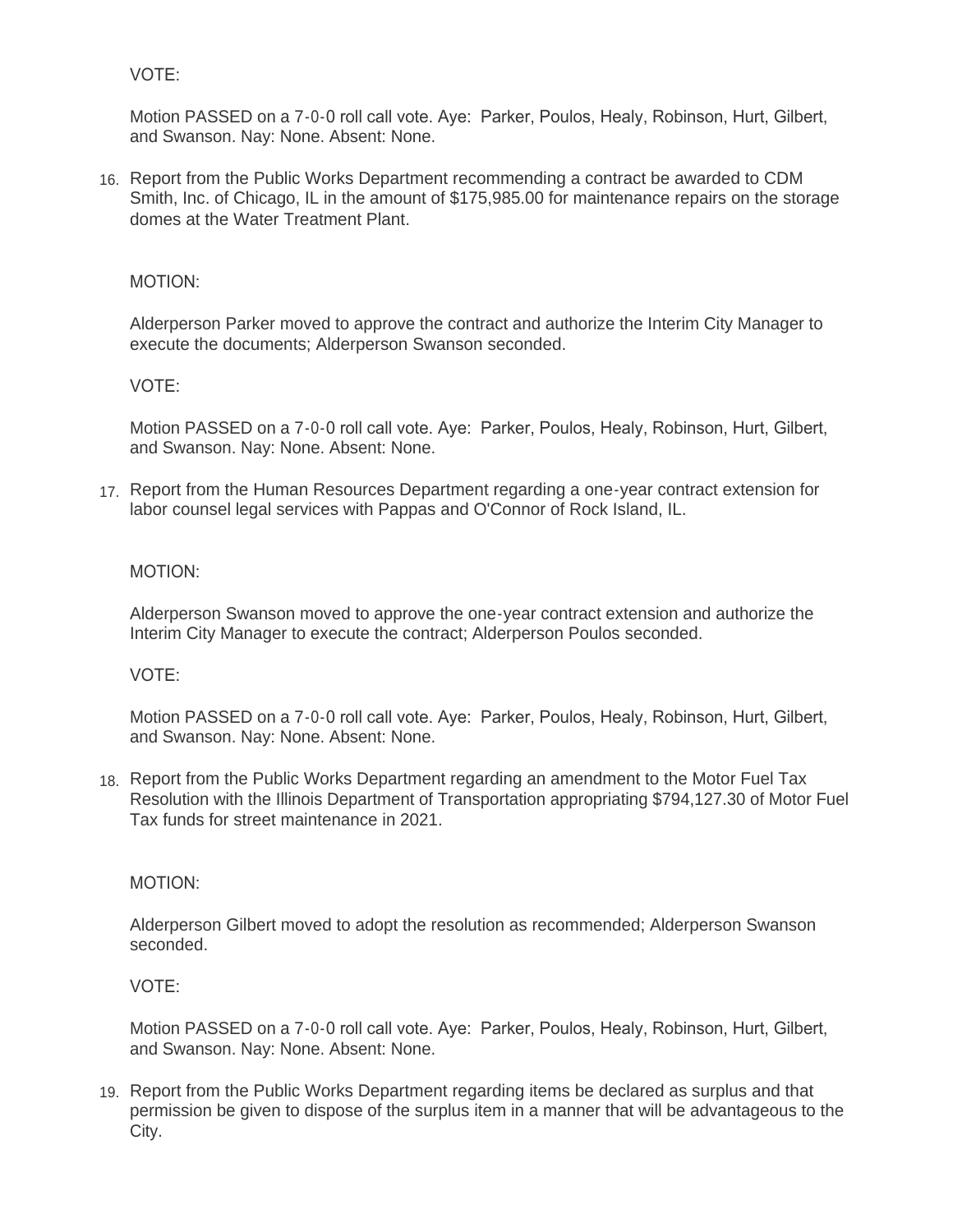# VOTE:

Motion PASSED on a 7-0-0 roll call vote. Aye: Parker, Poulos, Healy, Robinson, Hurt, Gilbert, and Swanson. Nay: None. Absent: None.

16. Report from the Public Works Department recommending a contract be awarded to CDM Smith, Inc. of Chicago, IL in the amount of \$175,985.00 for maintenance repairs on the storage domes at the Water Treatment Plant.

### MOTION:

Alderperson Parker moved to approve the contract and authorize the Interim City Manager to execute the documents; Alderperson Swanson seconded.

### VOTE:

Motion PASSED on a 7-0-0 roll call vote. Aye: Parker, Poulos, Healy, Robinson, Hurt, Gilbert, and Swanson. Nay: None. Absent: None.

17. Report from the Human Resources Department regarding a one-year contract extension for labor counsel legal services with Pappas and O'Connor of Rock Island, IL.

#### MOTION:

Alderperson Swanson moved to approve the one-year contract extension and authorize the Interim City Manager to execute the contract; Alderperson Poulos seconded.

#### VOTE:

Motion PASSED on a 7-0-0 roll call vote. Aye: Parker, Poulos, Healy, Robinson, Hurt, Gilbert, and Swanson. Nay: None. Absent: None.

18. Report from the Public Works Department regarding an amendment to the Motor Fuel Tax Resolution with the Illinois Department of Transportation appropriating \$794,127.30 of Motor Fuel Tax funds for street maintenance in 2021.

#### MOTION:

Alderperson Gilbert moved to adopt the resolution as recommended; Alderperson Swanson seconded.

#### VOTE:

Motion PASSED on a 7-0-0 roll call vote. Aye: Parker, Poulos, Healy, Robinson, Hurt, Gilbert, and Swanson. Nay: None. Absent: None.

19. Report from the Public Works Department regarding items be declared as surplus and that permission be given to dispose of the surplus item in a manner that will be advantageous to the City.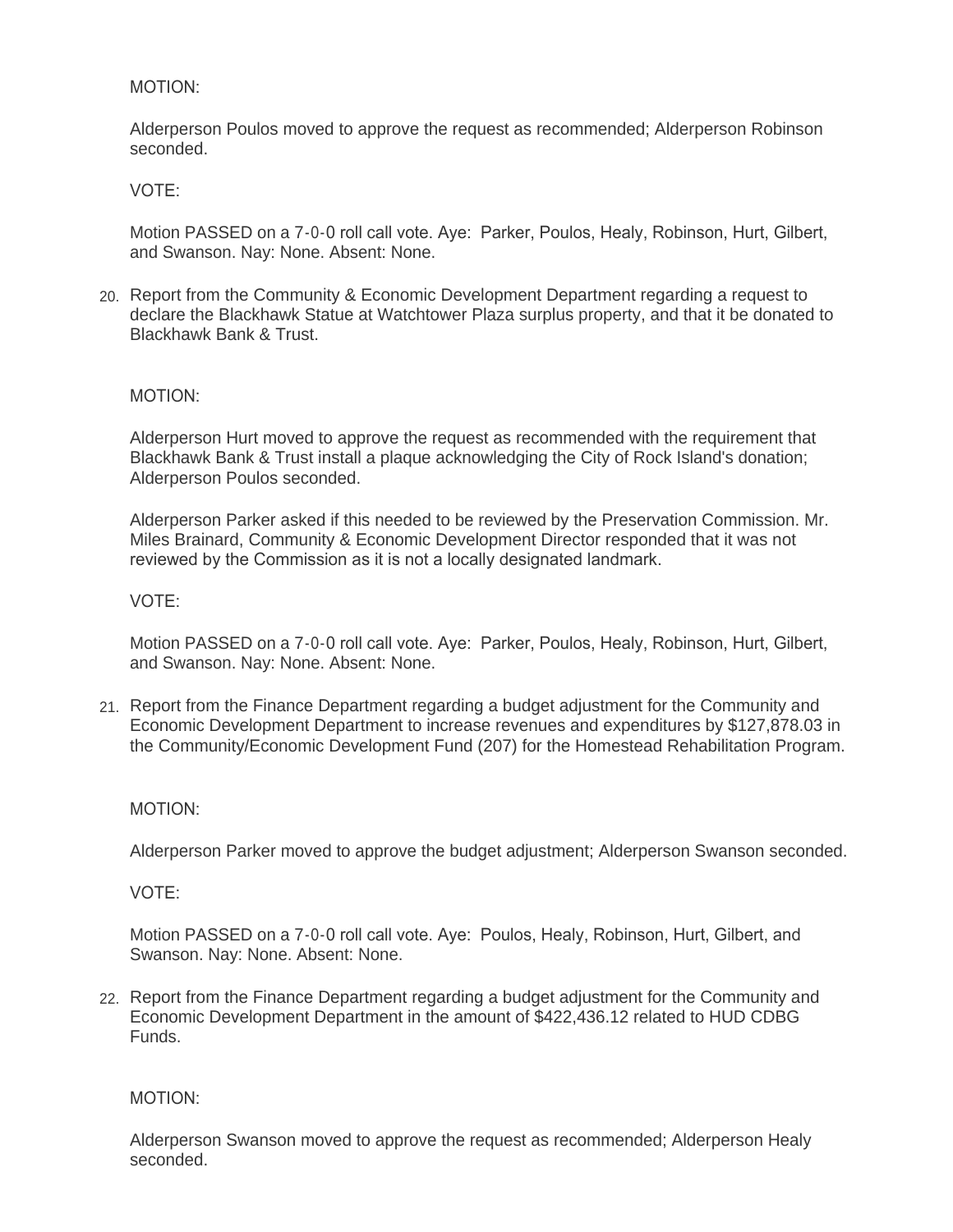### MOTION:

Alderperson Poulos moved to approve the request as recommended; Alderperson Robinson seconded.

#### VOTE:

Motion PASSED on a 7-0-0 roll call vote. Aye: Parker, Poulos, Healy, Robinson, Hurt, Gilbert, and Swanson. Nay: None. Absent: None.

Report from the Community & Economic Development Department regarding a request to 20. declare the Blackhawk Statue at Watchtower Plaza surplus property, and that it be donated to Blackhawk Bank & Trust.

#### MOTION:

Alderperson Hurt moved to approve the request as recommended with the requirement that Blackhawk Bank & Trust install a plaque acknowledging the City of Rock Island's donation; Alderperson Poulos seconded.

Alderperson Parker asked if this needed to be reviewed by the Preservation Commission. Mr. Miles Brainard, Community & Economic Development Director responded that it was not reviewed by the Commission as it is not a locally designated landmark.

#### VOTE:

Motion PASSED on a 7-0-0 roll call vote. Aye: Parker, Poulos, Healy, Robinson, Hurt, Gilbert, and Swanson. Nay: None. Absent: None.

21. Report from the Finance Department regarding a budget adjustment for the Community and Economic Development Department to increase revenues and expenditures by \$127,878.03 in the Community/Economic Development Fund (207) for the Homestead Rehabilitation Program.

#### MOTION:

Alderperson Parker moved to approve the budget adjustment; Alderperson Swanson seconded.

VOTE:

Motion PASSED on a 7-0-0 roll call vote. Aye: Poulos, Healy, Robinson, Hurt, Gilbert, and Swanson. Nay: None. Absent: None.

22. Report from the Finance Department regarding a budget adjustment for the Community and Economic Development Department in the amount of \$422,436.12 related to HUD CDBG Funds.

#### MOTION:

Alderperson Swanson moved to approve the request as recommended; Alderperson Healy seconded.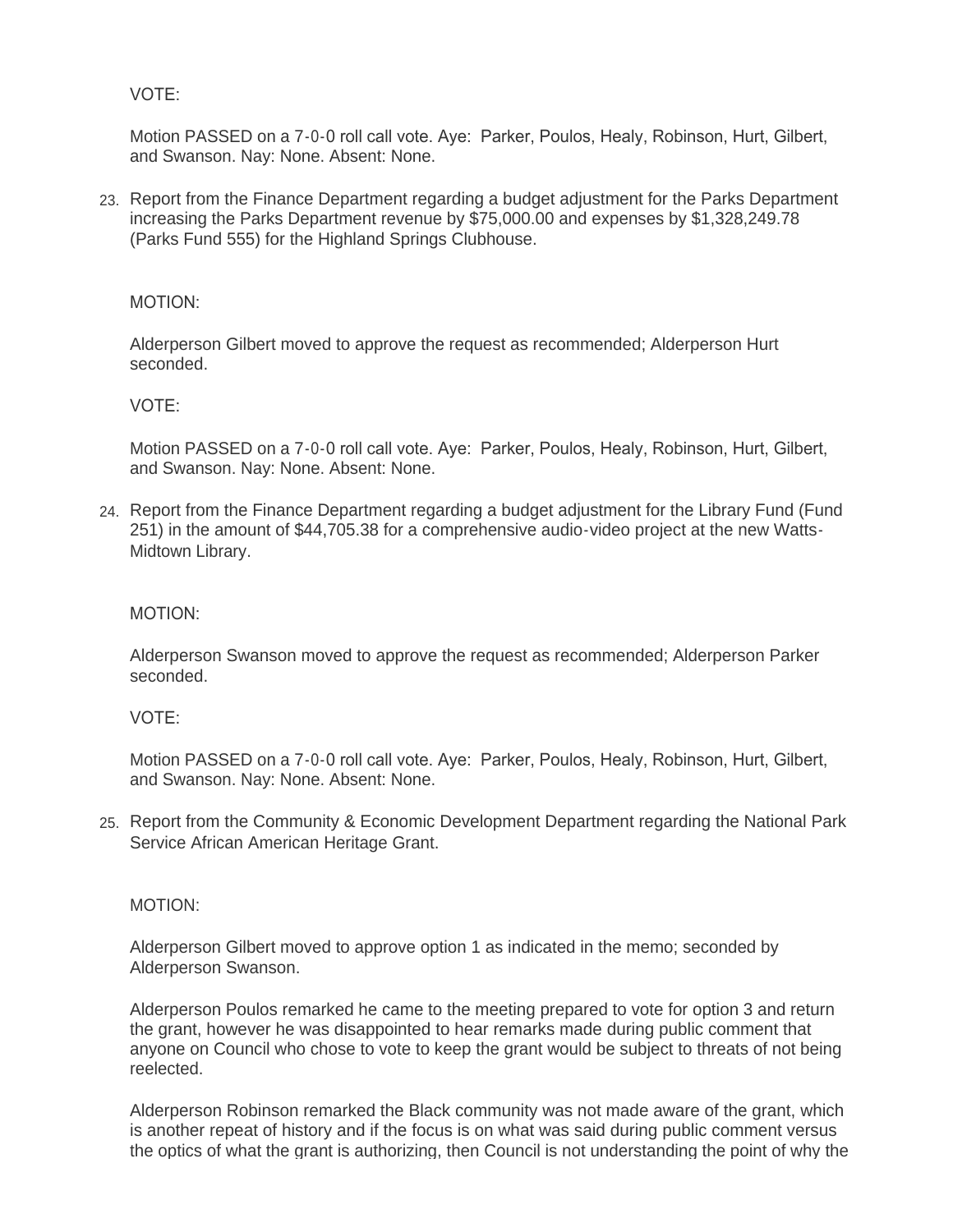VOTE:

Motion PASSED on a 7-0-0 roll call vote. Aye: Parker, Poulos, Healy, Robinson, Hurt, Gilbert, and Swanson. Nay: None. Absent: None.

23. Report from the Finance Department regarding a budget adjustment for the Parks Department increasing the Parks Department revenue by \$75,000.00 and expenses by \$1,328,249.78 (Parks Fund 555) for the Highland Springs Clubhouse.

### MOTION:

Alderperson Gilbert moved to approve the request as recommended; Alderperson Hurt seconded.

#### VOTE:

Motion PASSED on a 7-0-0 roll call vote. Aye: Parker, Poulos, Healy, Robinson, Hurt, Gilbert, and Swanson. Nay: None. Absent: None.

Report from the Finance Department regarding a budget adjustment for the Library Fund (Fund 24. 251) in the amount of \$44,705.38 for a comprehensive audio-video project at the new Watts-Midtown Library.

#### MOTION:

Alderperson Swanson moved to approve the request as recommended; Alderperson Parker seconded.

#### VOTE:

Motion PASSED on a 7-0-0 roll call vote. Aye: Parker, Poulos, Healy, Robinson, Hurt, Gilbert, and Swanson. Nay: None. Absent: None.

25. Report from the Community & Economic Development Department regarding the National Park Service African American Heritage Grant.

#### MOTION:

Alderperson Gilbert moved to approve option 1 as indicated in the memo; seconded by Alderperson Swanson.

Alderperson Poulos remarked he came to the meeting prepared to vote for option 3 and return the grant, however he was disappointed to hear remarks made during public comment that anyone on Council who chose to vote to keep the grant would be subject to threats of not being reelected.

Alderperson Robinson remarked the Black community was not made aware of the grant, which is another repeat of history and if the focus is on what was said during public comment versus the optics of what the grant is authorizing, then Council is not understanding the point of why the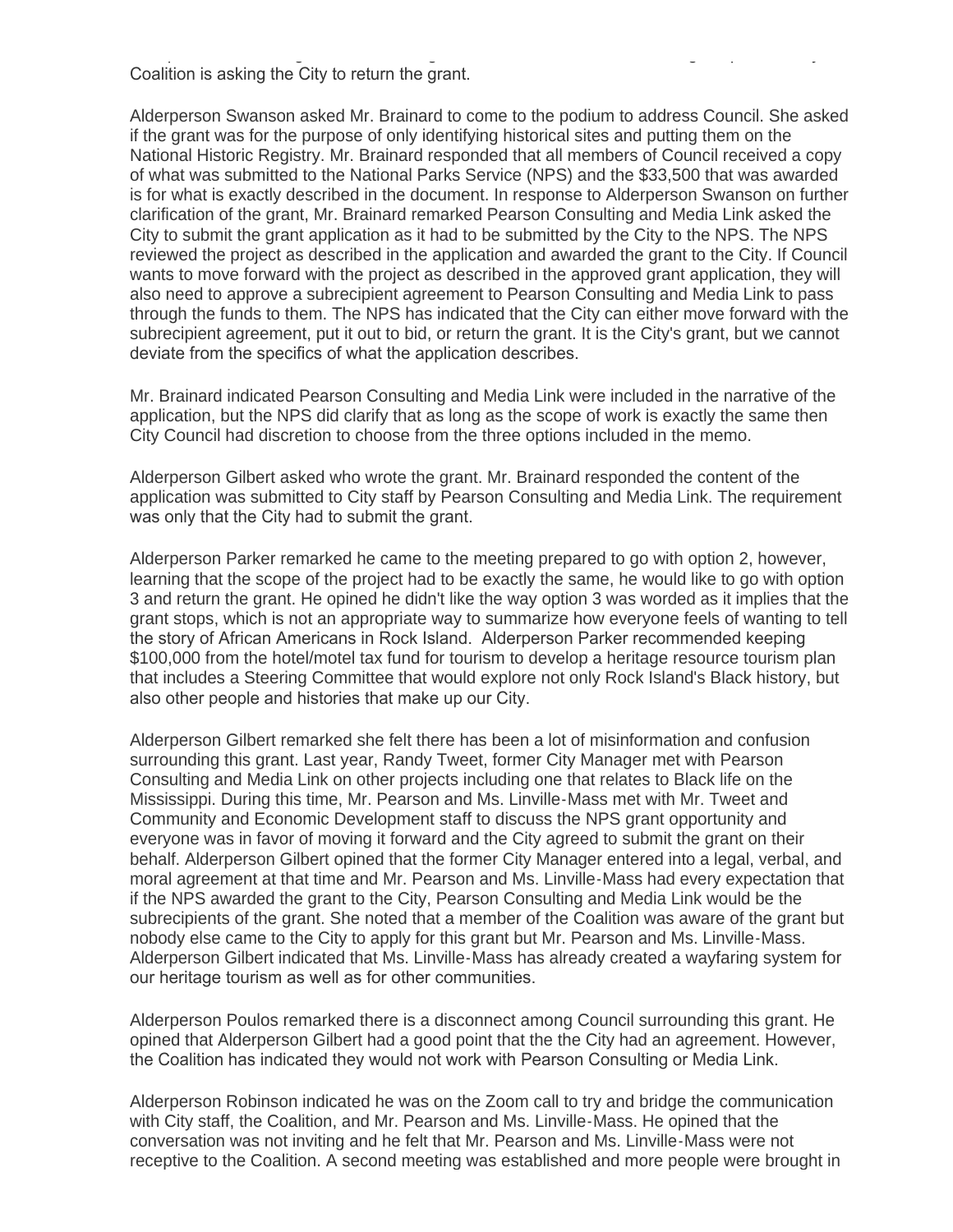the optics of what the grant is authorizing, then Council is not understanding the point of why the Coalition is asking the City to return the grant.

Alderperson Swanson asked Mr. Brainard to come to the podium to address Council. She asked if the grant was for the purpose of only identifying historical sites and putting them on the National Historic Registry. Mr. Brainard responded that all members of Council received a copy of what was submitted to the National Parks Service (NPS) and the \$33,500 that was awarded is for what is exactly described in the document. In response to Alderperson Swanson on further clarification of the grant, Mr. Brainard remarked Pearson Consulting and Media Link asked the City to submit the grant application as it had to be submitted by the City to the NPS. The NPS reviewed the project as described in the application and awarded the grant to the City. If Council wants to move forward with the project as described in the approved grant application, they will also need to approve a subrecipient agreement to Pearson Consulting and Media Link to pass through the funds to them. The NPS has indicated that the City can either move forward with the subrecipient agreement, put it out to bid, or return the grant. It is the City's grant, but we cannot deviate from the specifics of what the application describes.

Mr. Brainard indicated Pearson Consulting and Media Link were included in the narrative of the application, but the NPS did clarify that as long as the scope of work is exactly the same then City Council had discretion to choose from the three options included in the memo.

Alderperson Gilbert asked who wrote the grant. Mr. Brainard responded the content of the application was submitted to City staff by Pearson Consulting and Media Link. The requirement was only that the City had to submit the grant.

Alderperson Parker remarked he came to the meeting prepared to go with option 2, however, learning that the scope of the project had to be exactly the same, he would like to go with option 3 and return the grant. He opined he didn't like the way option 3 was worded as it implies that the grant stops, which is not an appropriate way to summarize how everyone feels of wanting to tell the story of African Americans in Rock Island. Alderperson Parker recommended keeping \$100,000 from the hotel/motel tax fund for tourism to develop a heritage resource tourism plan that includes a Steering Committee that would explore not only Rock Island's Black history, but also other people and histories that make up our City.

Alderperson Gilbert remarked she felt there has been a lot of misinformation and confusion surrounding this grant. Last year, Randy Tweet, former City Manager met with Pearson Consulting and Media Link on other projects including one that relates to Black life on the Mississippi. During this time, Mr. Pearson and Ms. Linville-Mass met with Mr. Tweet and Community and Economic Development staff to discuss the NPS grant opportunity and everyone was in favor of moving it forward and the City agreed to submit the grant on their behalf. Alderperson Gilbert opined that the former City Manager entered into a legal, verbal, and moral agreement at that time and Mr. Pearson and Ms. Linville-Mass had every expectation that if the NPS awarded the grant to the City, Pearson Consulting and Media Link would be the subrecipients of the grant. She noted that a member of the Coalition was aware of the grant but nobody else came to the City to apply for this grant but Mr. Pearson and Ms. Linville-Mass. Alderperson Gilbert indicated that Ms. Linville-Mass has already created a wayfaring system for our heritage tourism as well as for other communities.

Alderperson Poulos remarked there is a disconnect among Council surrounding this grant. He opined that Alderperson Gilbert had a good point that the the City had an agreement. However, the Coalition has indicated they would not work with Pearson Consulting or Media Link.

Alderperson Robinson indicated he was on the Zoom call to try and bridge the communication with City staff, the Coalition, and Mr. Pearson and Ms. Linville-Mass. He opined that the conversation was not inviting and he felt that Mr. Pearson and Ms. Linville-Mass were not receptive to the Coalition. A second meeting was established and more people were brought in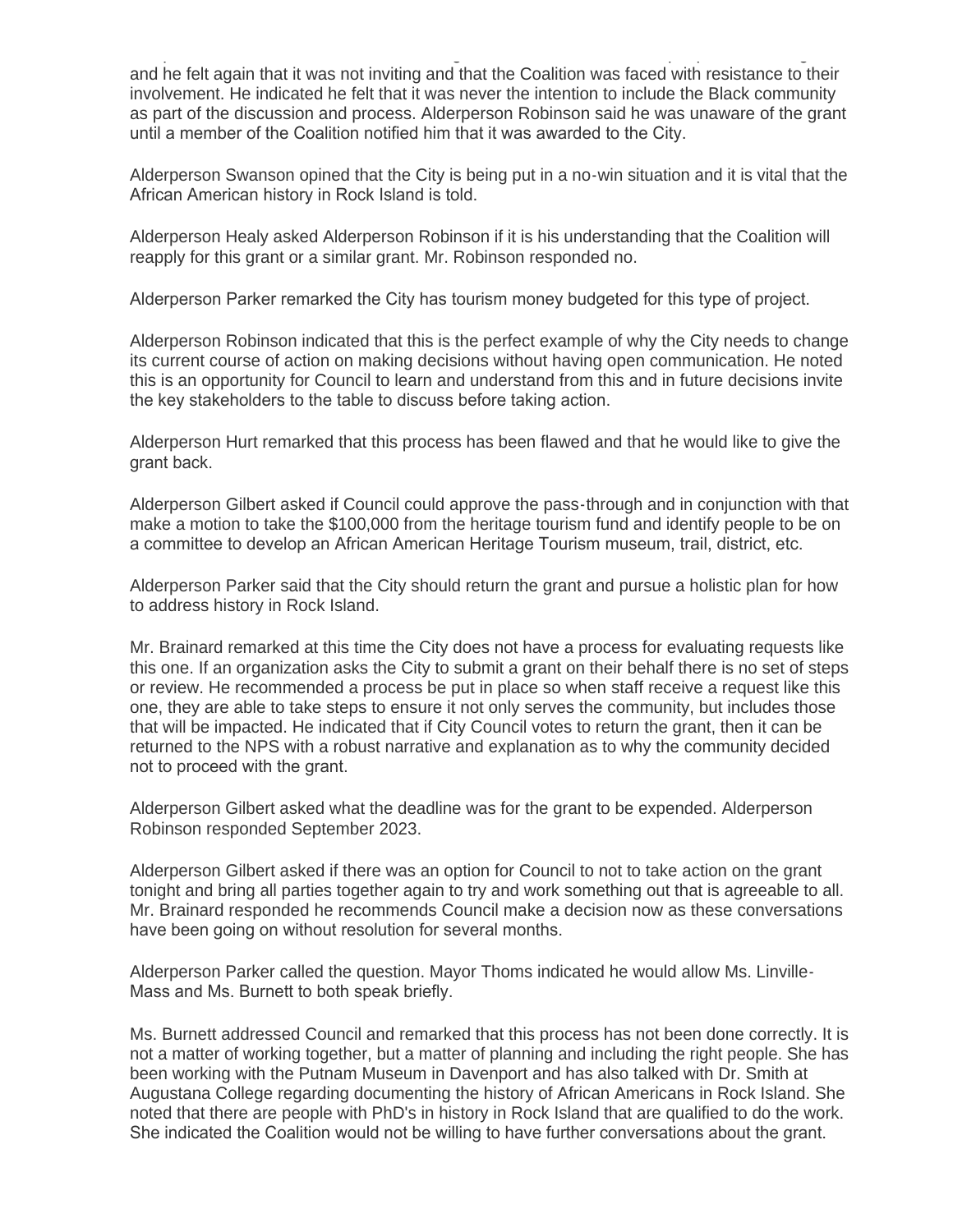receptive to the Coalition. A second meeting was established and more people were brought in and he felt again that it was not inviting and that the Coalition was faced with resistance to their involvement. He indicated he felt that it was never the intention to include the Black community as part of the discussion and process. Alderperson Robinson said he was unaware of the grant until a member of the Coalition notified him that it was awarded to the City.

Alderperson Swanson opined that the City is being put in a no-win situation and it is vital that the African American history in Rock Island is told.

Alderperson Healy asked Alderperson Robinson if it is his understanding that the Coalition will reapply for this grant or a similar grant. Mr. Robinson responded no.

Alderperson Parker remarked the City has tourism money budgeted for this type of project.

Alderperson Robinson indicated that this is the perfect example of why the City needs to change its current course of action on making decisions without having open communication. He noted this is an opportunity for Council to learn and understand from this and in future decisions invite the key stakeholders to the table to discuss before taking action.

Alderperson Hurt remarked that this process has been flawed and that he would like to give the grant back.

Alderperson Gilbert asked if Council could approve the pass-through and in conjunction with that make a motion to take the \$100,000 from the heritage tourism fund and identify people to be on a committee to develop an African American Heritage Tourism museum, trail, district, etc.

Alderperson Parker said that the City should return the grant and pursue a holistic plan for how to address history in Rock Island.

Mr. Brainard remarked at this time the City does not have a process for evaluating requests like this one. If an organization asks the City to submit a grant on their behalf there is no set of steps or review. He recommended a process be put in place so when staff receive a request like this one, they are able to take steps to ensure it not only serves the community, but includes those that will be impacted. He indicated that if City Council votes to return the grant, then it can be returned to the NPS with a robust narrative and explanation as to why the community decided not to proceed with the grant.

Alderperson Gilbert asked what the deadline was for the grant to be expended. Alderperson Robinson responded September 2023.

Alderperson Gilbert asked if there was an option for Council to not to take action on the grant tonight and bring all parties together again to try and work something out that is agreeable to all. Mr. Brainard responded he recommends Council make a decision now as these conversations have been going on without resolution for several months.

Alderperson Parker called the question. Mayor Thoms indicated he would allow Ms. Linville-Mass and Ms. Burnett to both speak briefly.

Ms. Burnett addressed Council and remarked that this process has not been done correctly. It is not a matter of working together, but a matter of planning and including the right people. She has been working with the Putnam Museum in Davenport and has also talked with Dr. Smith at Augustana College regarding documenting the history of African Americans in Rock Island. She noted that there are people with PhD's in history in Rock Island that are qualified to do the work. She indicated the Coalition would not be willing to have further conversations about the grant.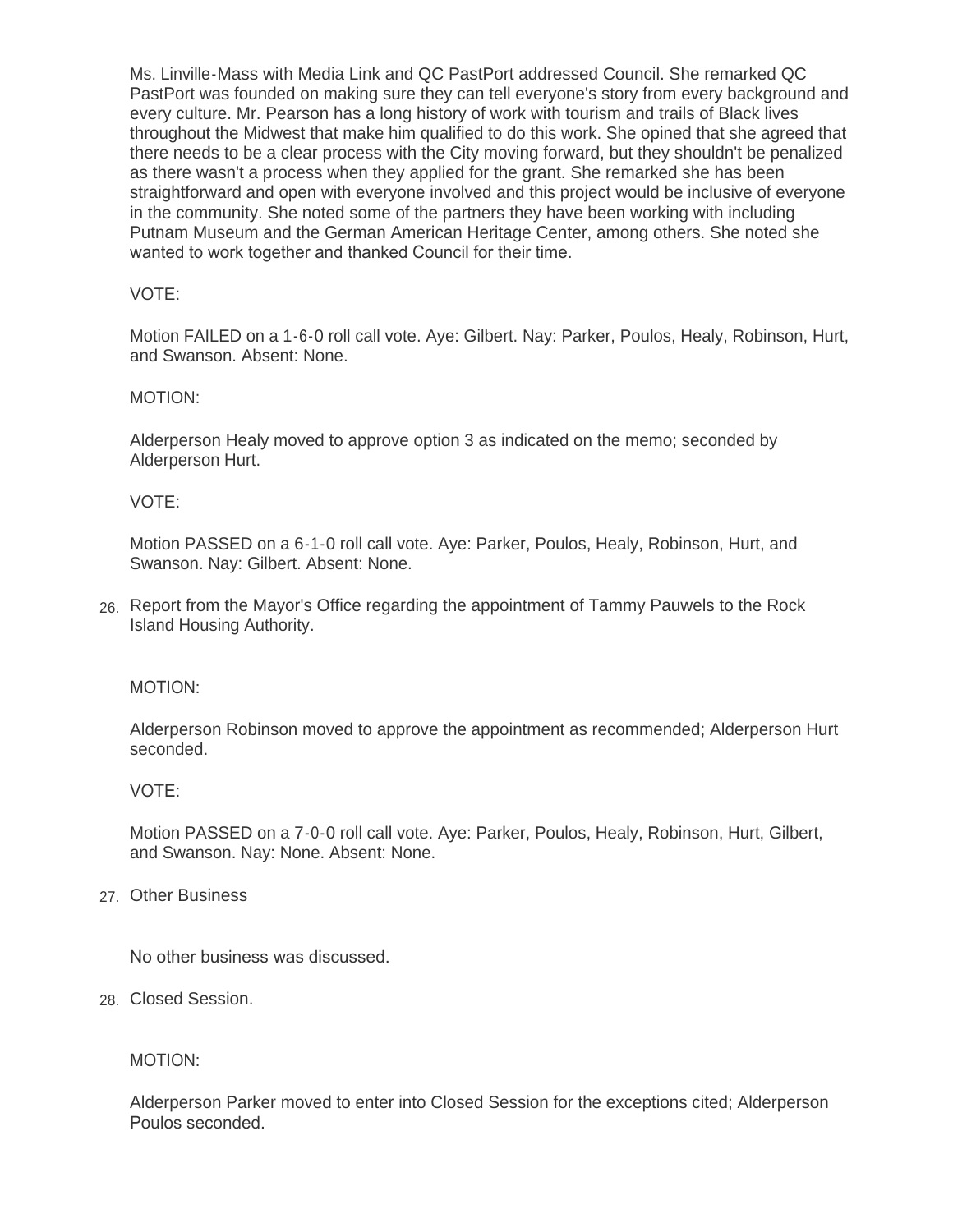Ms. Linville-Mass with Media Link and QC PastPort addressed Council. She remarked QC PastPort was founded on making sure they can tell everyone's story from every background and every culture. Mr. Pearson has a long history of work with tourism and trails of Black lives throughout the Midwest that make him qualified to do this work. She opined that she agreed that there needs to be a clear process with the City moving forward, but they shouldn't be penalized as there wasn't a process when they applied for the grant. She remarked she has been straightforward and open with everyone involved and this project would be inclusive of everyone in the community. She noted some of the partners they have been working with including Putnam Museum and the German American Heritage Center, among others. She noted she wanted to work together and thanked Council for their time.

# VOTE:

Motion FAILED on a 1-6-0 roll call vote. Aye: Gilbert. Nay: Parker, Poulos, Healy, Robinson, Hurt, and Swanson. Absent: None.

### MOTION:

Alderperson Healy moved to approve option 3 as indicated on the memo; seconded by Alderperson Hurt.

### VOTE:

Motion PASSED on a 6-1-0 roll call vote. Aye: Parker, Poulos, Healy, Robinson, Hurt, and Swanson. Nay: Gilbert. Absent: None.

Report from the Mayor's Office regarding the appointment of Tammy Pauwels to the Rock 26. Island Housing Authority.

#### MOTION:

Alderperson Robinson moved to approve the appointment as recommended; Alderperson Hurt seconded.

#### VOTE:

Motion PASSED on a 7-0-0 roll call vote. Aye: Parker, Poulos, Healy, Robinson, Hurt, Gilbert, and Swanson. Nay: None. Absent: None.

# Other Business 27.

No other business was discussed.

Closed Session. 28.

#### MOTION:

Alderperson Parker moved to enter into Closed Session for the exceptions cited; Alderperson Poulos seconded.